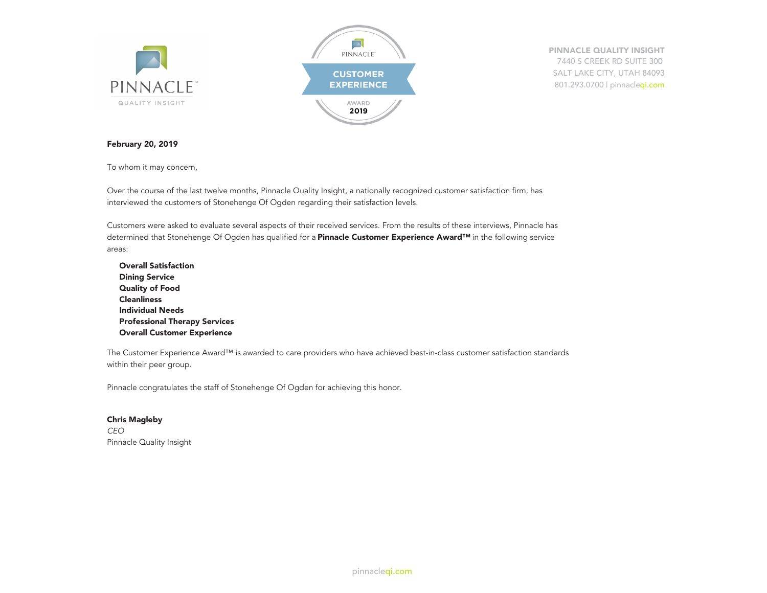

**PINNACLE QUALITY INSIGHT** 7440 S CREEK RD SUITE 300 SALT LAKE CITY, UTAH 84093 801.293.0700 | pinnacleqi.com

#### **February 20, 2019**

To whom it may concern,

Over the course of the last twelve months, Pinnacle Quality Insight, a nationally recognized customer satisfaction firm, has interviewed the customers of Stonehenge Of Ogden regarding their satisfaction levels.

Customers were asked to evaluate several aspects of their received services. From the results of these interviews, Pinnacle has determined that Stonehenge Of Ogden has qualified for a **Pinnacle Customer Experience Award™** in the following service areas:

**Overall Satisfaction Dining Service Quality of Food Cleanliness Individual Needs Professional Therapy Services Overall Customer Experience**

The Customer Experience Award™ is awarded to care providers who have achieved best-in-class customer satisfaction standards within their peer group.

Pinnacle congratulates the staff of Stonehenge Of Ogden for achieving this honor.

**Chris Magleby** *CEO* Pinnacle Quality Insight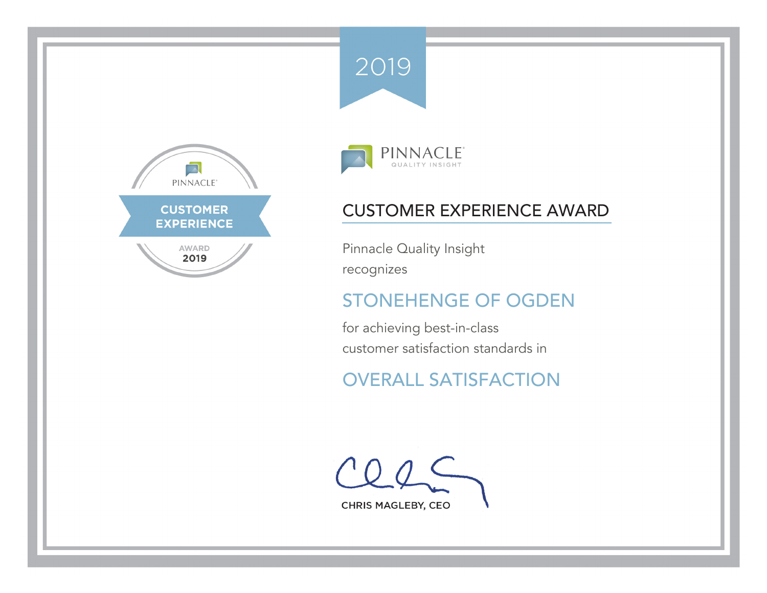





Pinnacle Quality Insight recognizes

# STONEHENGE OF OGDEN

for achieving best-in-class customer satisfaction standards in

# OVERALL SATISFACTION

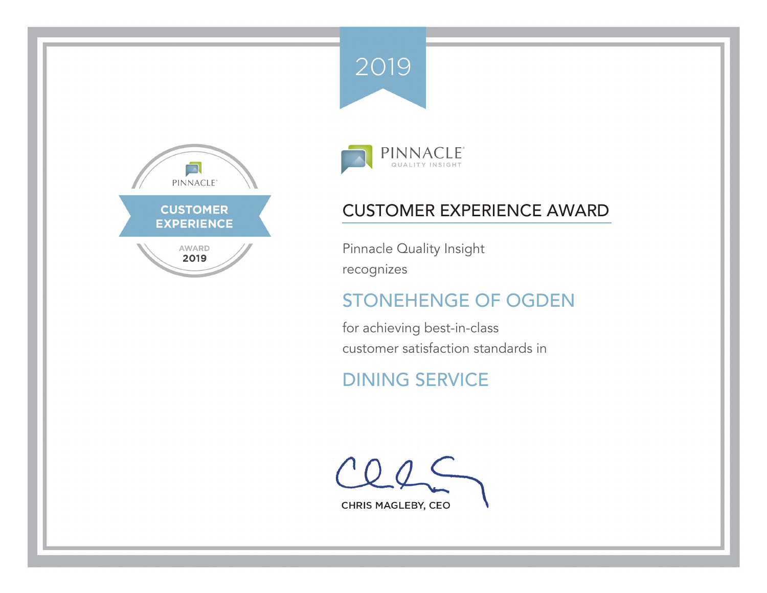





Pinnacle Quality Insight recognizes

# STONEHENGE OF OGDEN

for achieving best-in-class customer satisfaction standards in

# DINING SERVICE

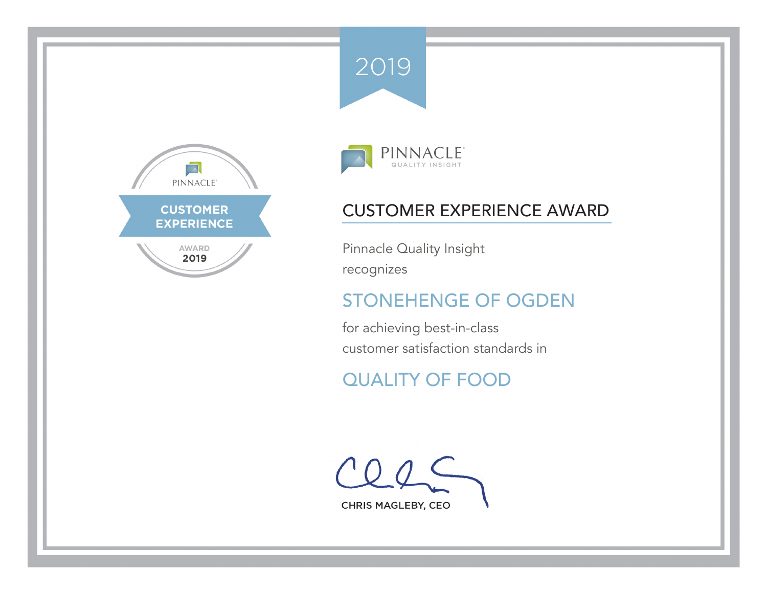





Pinnacle Quality Insight recognizes

# STONEHENGE OF OGDEN

for achieving best-in-class customer satisfaction standards in

# QUALITY OF FOOD

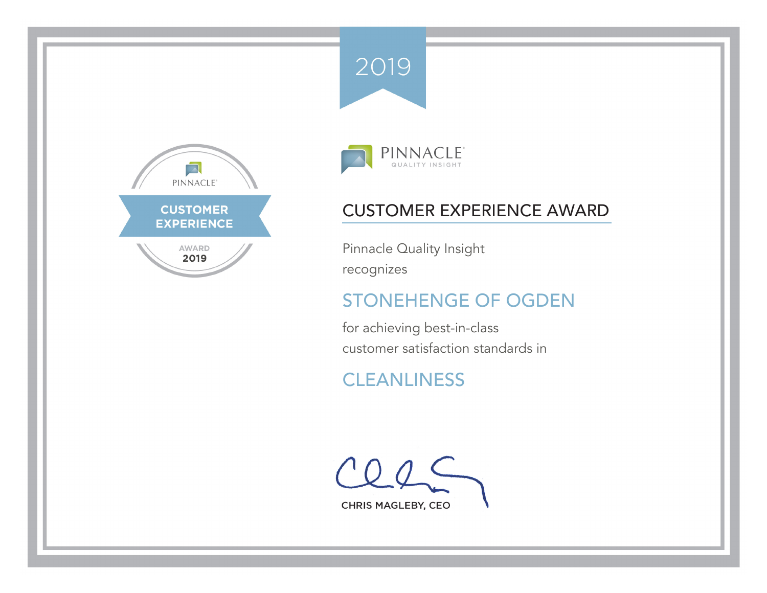





Pinnacle Quality Insight recognizes

# STONEHENGE OF OGDEN

for achieving best-in-class customer satisfaction standards in

# **CLEANLINESS**

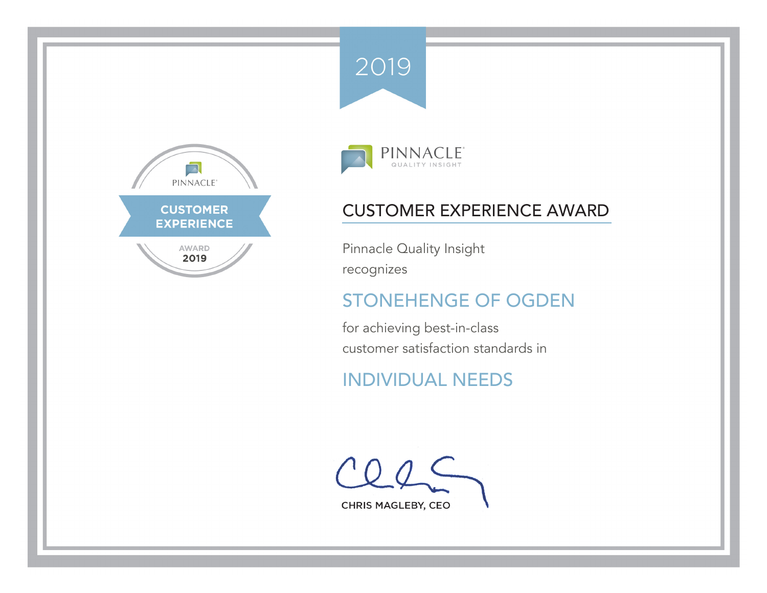





Pinnacle Quality Insight recognizes

# STONEHENGE OF OGDEN

for achieving best-in-class customer satisfaction standards in

# INDIVIDUAL NEEDS

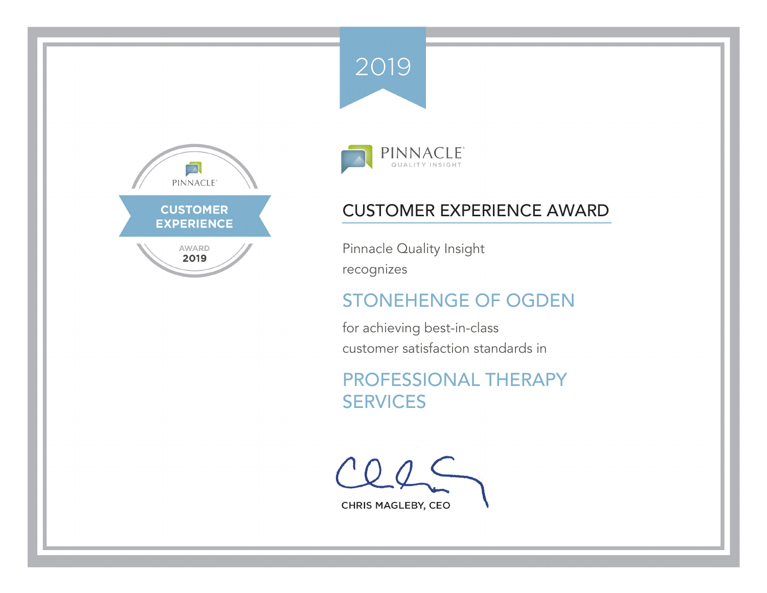





Pinnacle Quality Insight recognizes

# STONEHENGE OF OGDEN

for achieving best-in-class customer satisfaction standards in

PROFESSIONAL THERAPY **SERVICES**